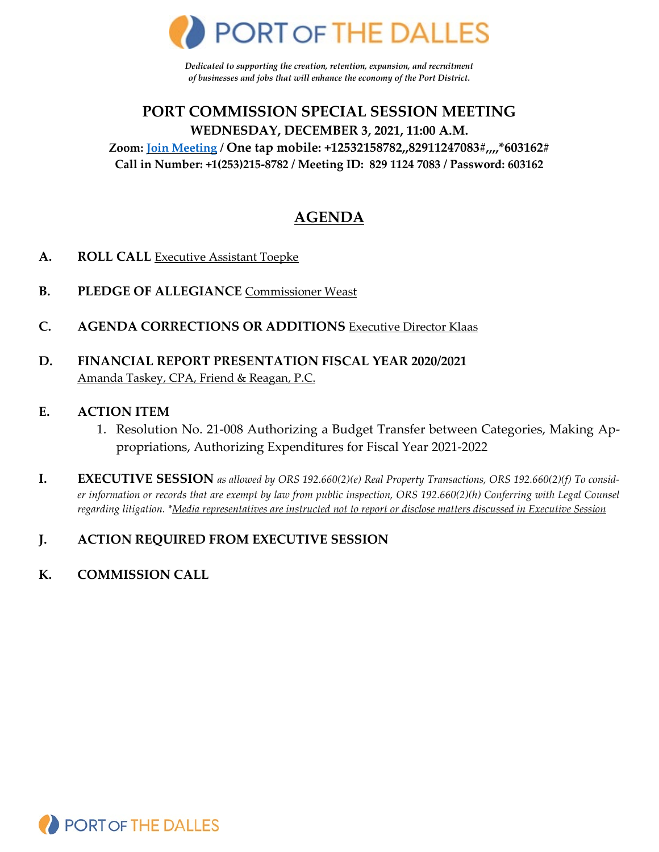

*Dedicated to supporting the creation, retention, expansion, and recruitment of businesses and jobs that will enhance the economy of the Port District.*

# **PORT COMMISSION SPECIAL SESSION MEETING WEDNESDAY, DECEMBER 3, 2021, 11:00 A.M. Zoom: [Join Meeting](https://us02web.zoom.us/j/82911247083?pwd=Y3JHV29aeW9lbEROaWNSbElLUEJXZz09) / One tap mobile: +12532158782,,82911247083#,,,,\*603162# Call in Number: +1(253)215-8782 / Meeting ID: 829 1124 7083 / Password: 603162**

# **AGENDA**

- **A. ROLL CALL** Executive Assistant Toepke
- **B. PLEDGE OF ALLEGIANCE** Commissioner Weast
- **C. AGENDA CORRECTIONS OR ADDITIONS** Executive Director Klaas
- **D. FINANCIAL REPORT PRESENTATION FISCAL YEAR 2020/2021** Amanda Taskey, CPA, Friend & Reagan, P.C.

#### **E. ACTION ITEM**

- 1. Resolution No. 21-008 Authorizing a Budget Transfer between Categories, Making Appropriations, Authorizing Expenditures for Fiscal Year 2021-2022
- **I. EXECUTIVE SESSION** *as allowed by ORS 192.660(2)(e) Real Property Transactions, ORS 192.660(2)(f) To consider information or records that are exempt by law from public inspection, ORS 192.660(2)(h) Conferring with Legal Counsel regarding litigation. \*Media representatives are instructed not to report or disclose matters discussed in Executive Session*

## **J. ACTION REQUIRED FROM EXECUTIVE SESSION**

**K. COMMISSION CALL**

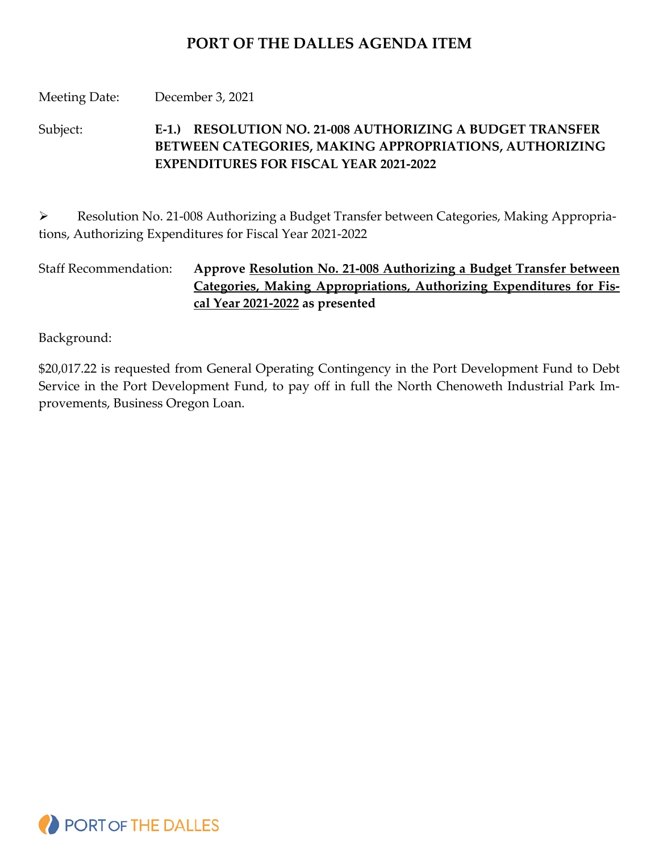# **PORT OF THE DALLES AGENDA ITEM**

### Meeting Date: December 3, 2021

Subject: **E-1.) RESOLUTION NO. 21-008 AUTHORIZING A BUDGET TRANSFER BETWEEN CATEGORIES, MAKING APPROPRIATIONS, AUTHORIZING EXPENDITURES FOR FISCAL YEAR 2021-2022**

 Resolution No. 21-008 Authorizing a Budget Transfer between Categories, Making Appropriations, Authorizing Expenditures for Fiscal Year 2021-2022

Staff Recommendation: **Approve Resolution No. 21-008 Authorizing a Budget Transfer between Categories, Making Appropriations, Authorizing Expenditures for Fiscal Year 2021-2022 as presented**

Background:

\$20,017.22 is requested from General Operating Contingency in the Port Development Fund to Debt Service in the Port Development Fund, to pay off in full the North Chenoweth Industrial Park Improvements, Business Oregon Loan.